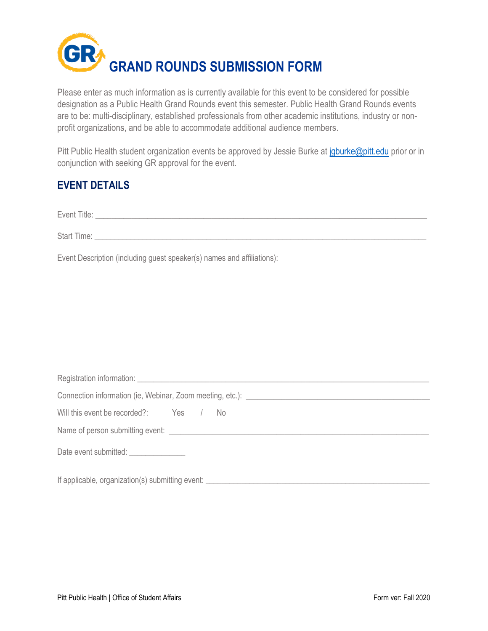

Please enter as much information as is currently available for this event to be considered for possible designation as a Public Health Grand Rounds event this semester. Public Health Grand Rounds events are to be: multi-disciplinary, established professionals from other academic institutions, industry or nonprofit organizations, and be able to accommodate additional audience members.

Pitt Public Health student organization events be approved by Jessie Burke at [jgburke@pitt.edu](mailto:jgburke@pitt.edu) prior or in conjunction with seeking GR approval for the event.

## **EVENT DETAILS**

| Event Title: |  |  |
|--------------|--|--|
|              |  |  |

| <b>Start Time:</b> |  |  |
|--------------------|--|--|
|                    |  |  |

Event Description (including guest speaker(s) names and affiliations):

| Connection information (ie, Webinar, Zoom meeting, etc.): _______________________ |  |  |                                                  |  |  |  |  |
|-----------------------------------------------------------------------------------|--|--|--------------------------------------------------|--|--|--|--|
| Will this event be recorded?: Yes / No                                            |  |  |                                                  |  |  |  |  |
|                                                                                   |  |  |                                                  |  |  |  |  |
| Date event submitted: _______________                                             |  |  |                                                  |  |  |  |  |
|                                                                                   |  |  | If applicable, organization(s) submitting event: |  |  |  |  |